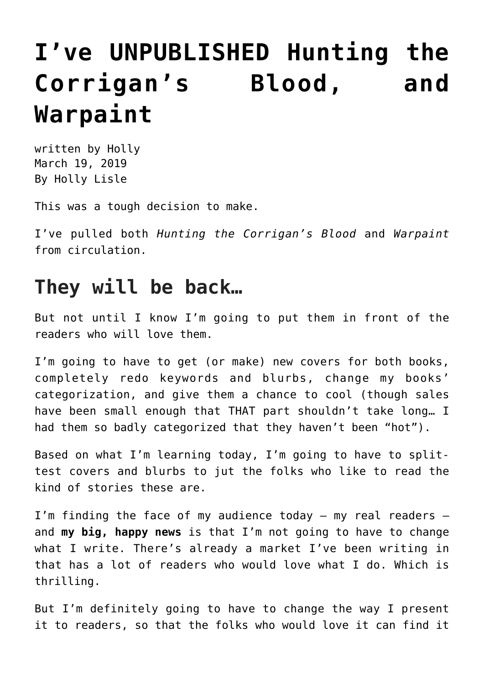## **[I've UNPUBLISHED Hunting the](https://hollylisle.com/ive-unpublished-hunting-the-corrigans-blood-and-warpaint/) [Corrigan's Blood, and](https://hollylisle.com/ive-unpublished-hunting-the-corrigans-blood-and-warpaint/) [Warpaint](https://hollylisle.com/ive-unpublished-hunting-the-corrigans-blood-and-warpaint/)**

written by Holly March 19, 2019 [By Holly Lisle](https://hollylisle.com)

This was a tough decision to make.

I've pulled both *Hunting the Corrigan's Blood* and *Warpaint* from circulation.

## **They will be back…**

But not until I know I'm going to put them in front of the readers who will love them.

I'm going to have to get (or make) new covers for both books, completely redo keywords and blurbs, change my books' categorization, and give them a chance to cool (though sales have been small enough that THAT part shouldn't take long… I had them so badly categorized that they haven't been "hot").

Based on what I'm learning today, I'm going to have to splittest covers and blurbs to jut the folks who like to read the kind of stories these are.

I'm finding the face of my audience today — my real readers and **my big, happy news** is that I'm not going to have to change what I write. There's already a market I've been writing in that has a lot of readers who would love what I do. Which is thrilling.

But I'm definitely going to have to change the way I present it to readers, so that the folks who would love it can find it